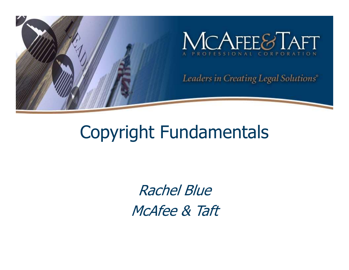

#### Copyright Fundamentals

Rachel Blue McAfee & Taft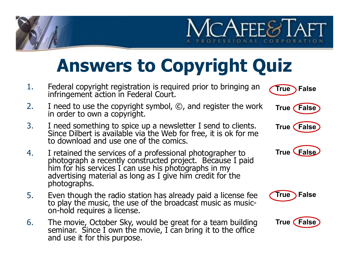### Answers to Copyright Quiz

- 1. Federal copyright registration is required prior to bringing an infringement action in Federal Court.
- 2. I need to use the copyright symbol, ©, and register the work in order to own a copyright.
- 3. I need something to spice up a newsletter I send to clients. Since Dilbert is available via the Web for free, it is ok for me to download and use one of the comics.
- 4. I retained the services of a professional photographer to<br>photograph a recently constructed project. Because I paid<br>him for his services I can use his photographs in my<br>advertising material as long as I give him credit
- 5. Even though the radio station has already paid a license fee **True**<br>to play the music, the use of the broadcast music as music-<br>on-hold requires a license.
- 6. The movie, October Sky, would be great for a team building seminar. Since I own the movie, I can bring it to the office and use it for this purpose.



True False

 $C$   $R$   $A$ 

 $C$ AFFF $\approx$ 

True *False* 



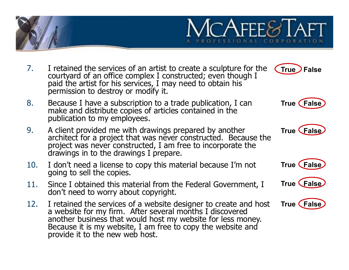

- 7. I retained the services of an artist to create a sculpture for the courtyard of an office complex I constructed; even though I paid the artist for his services, I may need to obtain his permission to destroy or modify it. True **False**
- 8. Because I have a subscription to a trade publication, I can make and distribute copies of articles contained in the publication to my employees.
- 9. A client provided me with drawings prepared by another architect for a project that was never constructed. Because the project was never constructed, I am free to incorporate the drawings in to the drawings I prepare.
- 10. I don't need a license to copy this material because I'm not going to sell the copies.
- 11. Since I obtained this material from the Federal Government, I don't need to worry about copyright.
- 12. I retained the services of a website designer to create and host<br>a website for my firm. After several months I discovered<br>another business that would host my website for less money.<br>Because it is my website, I am free



**True (False)** 





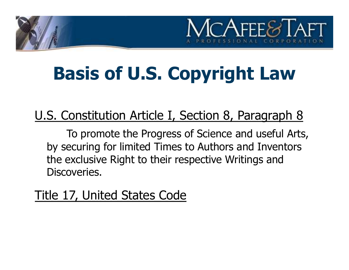# $ACAFFE8$

### Basis of U.S. Copyright Law

#### U.S. Constitution Article I, Section 8, Paragraph 8

To promote the Progress of Science and useful Arts, by securing for limited Times to Authors and Inventors the exclusive Right to their respective Writings and Discoveries.

Title 17, United States Code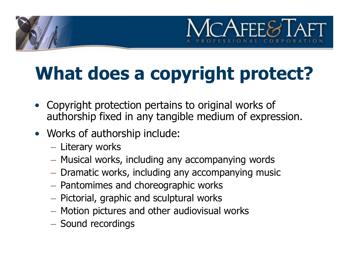# $\neg$ AFFF $\epsilon$

## What does a copyright protect?

- Copyright protection pertains to original works of authorship fixed in any tangible medium of expression.
- Works of authorship include:
	- Literary works
	- Musical works, including any accompanying words
	- Dramatic works, including any accompanying music
	- Pantomimes and choreographic works
	- Pictorial, graphic and sculptural works
	- Motion pictures and other audiovisual works
	- Sound recordings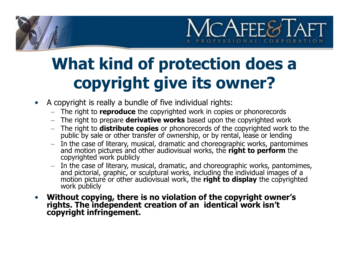

#### What kind of protection does a copyright give its owner?

- A copyright is really a bundle of five individual rights:
	- The right to reproduce the copyrighted work in copies or phonorecords
	- The right to prepare **derivative works** based upon the copyrighted work
	- The right to **distribute copies** or phonorecords of the copyrighted work to the public by sale or other transfer of ownership, or by rental, lease or lending
	- In the case of literary, musical, dramatic and choreographic works, pantomimes and motion pictures and other audiovisual works, the **right to perform** the copyrighted work publicly
	- In the case of literary, musical, dramatic, and choreographic works, pantomimes, and pictorial, graphic, or sculptural works, including the individual images of a motion picture or other audiovisual work, the **right to d**
- Without copying, there is no violation of the copyright owner's rights. The independent creation of an identical work isn't copyright infringement.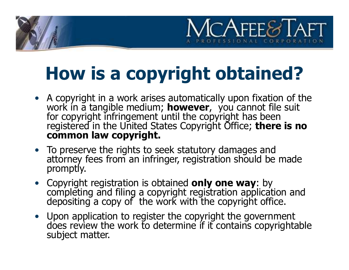# $C$ AFFF $\mathcal{C}$

## How is a copyright obtained?

- A copyright in a work arises automatically upon fixation of the work in a tangible medium; **however**, you cannot file suit for copyright infringement until the copyright has been registered in the United States Copyright common law copyright.
- To preserve the rights to seek statutory damages and attorney fees from an infringer, registration should be made promptly.
- Copyright registration is obtained **only one way**: by completing and filing a copyright registration application and depositing a copy of the work with the copyright office.
- Upon application to register the copyright the government does review the work to determine if it contains copyrightable subject matter.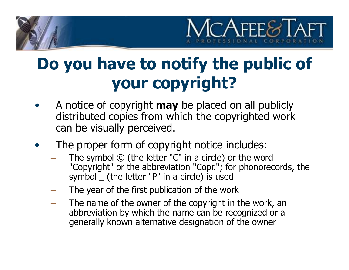

#### Do you have to notify the public of your copyright?

- A notice of copyright **may** be placed on all publicly distributed copies from which the copyrighted work can be visually perceived.
- The proper form of copyright notice includes:
	- The symbol  $\odot$  (the letter "C" in a circle) or the word "Copyright" or the abbreviation "Copr."; for phonorecords, the symbol \_ (the letter "P" in a circle) is used
	- The year of the first publication of the work
	- The name of the owner of the copyright in the work, an abbreviation by which the name can be recognized or a generally known alternative designation of the owner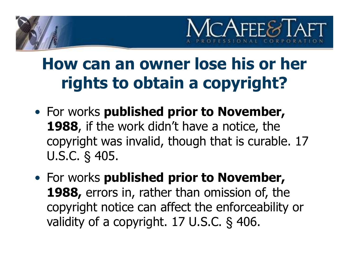

#### How can an owner lose his or her rights to obtain a copyright?

- 1988, if the work didn't have a notice, the copyright was invalid, though that is curable. 17 U.S.C. § 405. **Frow can an owner lose his or her<br>
rights to obtain a copyright?**<br>
• For works published prior to November,<br>
1988, if the work didn't have a notice, the<br>
copyright was invalid, though that is curable. 17<br>
U.S.C. § 405.<br>
- 1988, errors in, rather than omission of, the copyright notice can affect the enforceability or validity of a copyright. 17 U.S.C. § 406.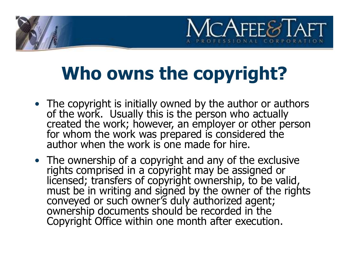#### Who owns the copyright?

 $\cap$ AFFF $\otimes$ 

- The copyright is initially owned by the author or authors<br>of the work. Usually this is the person who actually<br>created the work; however, an employer or other person<br>for whom the work was prepared is considered the<br>autho
- The ownership of a copyright and any of the exclusive rights comprised in a copyright may be assigned or licensed; transfers of copyright ownership, to be valid,<br>must be in writing and signed by the owner of the rights<br>conveyed or such owner's duly authorized agent;<br>ownership documents should be recorded in the<br>Copyright Offi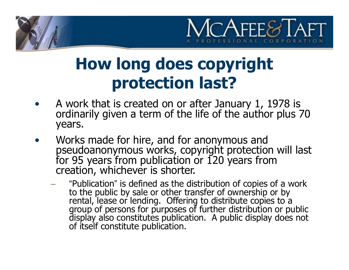

#### How long does copyright protection last?

- A work that is created on or after January 1, 1978 is ordinarily given a term of the life of the author plus 70 years.
- Works made for hire, and for anonymous and pseudoanonymous works, copyright protection will last for 95 years from publication or 120 years from creation, whichever is shorter.
	- "Publication" is defined as the distribution of copies of a work to the public by sale or other transfer of ownership or by rental, lease or lending. Offering to distribute copies to a group of persons for purposes of further distribution or public display also constitutes publication. A public display does not of itself constitute publication.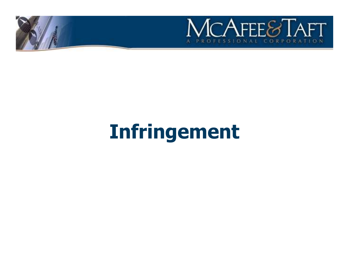

## Infringement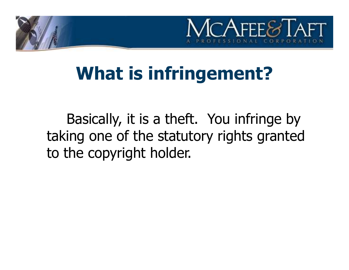

#### What is infringement?

Basically, it is a theft. You infringe by taking one of the statutory rights granted to the copyright holder.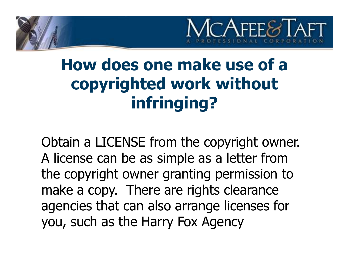

#### How does one make use of a copyrighted work without infringing?

Obtain a LICENSE from the copyright owner. A license can be as simple as a letter from the copyright owner granting permission to make a copy. There are rights clearance agencies that can also arrange licenses for you, such as the Harry Fox Agency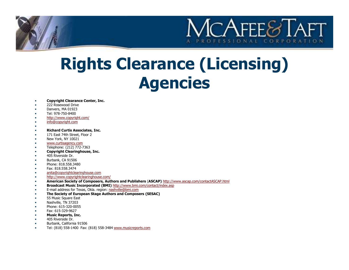

# Rights Clearance (Licensing) Agencies **Example 10** Composes Center, Inc.<br>
• 222 Research Other Center, Inc.<br>
• The Sys 750-8400<br>
Tel: 978-750-8400<br>
• The Sys 750-8400<br>
• The Sys 750-8400<br>
• The Sys 750-840<br>
• The Society of Authors and Composers (SESAC)<br>
• Th

#### • Copyright Clearance Center, Inc.

- 222 Rosewood Drive
- Danvers, MA 01923
- Tel: 978-750-8400
- http://www.copyright.com/
- info@copyright.com
- •
- Richard Curtis Associates, Inc.
- 171 East 74th Street, Floor 2
- New York, NY 10021
- www.curtisagency.com
- Telephone: (212) 772-7363
- Copyright Clearinghouse, Inc.
- 405 Riverside Dr.
- Burbank, CA 91506
- Phone: 818.558.3480 Fax: 818.558.3474
- 
- anita@copyrightclearinghouse.com
- http://www.copyrightclearinghouse.com/
- American Society of Composers, Authors and Publishers (ASCAP) http://www.ascap.com/contactASCAP.html
- Broadcast Music Incorporated (BMI) http://www.bmi.com/contact/index.asp
- E-mail address for Texas, Okla. region: nashville@bmi.com
- 
- 55 Music Square East
- Nashville, TN 37203
- Phone: 615-320-0055
- Fax: 615-329-9627
- Music Reports, Inc.
- 405 Riverside Dr.
- Burbank, California 91506
- Tel: (818) 558-1400 Fax: (818) 558-3484 www.musicreports.com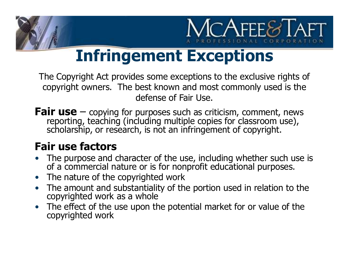

#### Infringement Exceptions

The Copyright Act provides some exceptions to the exclusive rights of copyright owners. The best known and most commonly used is the defense of Fair Use.

**Fair use**  $-$  copying for purposes such as criticism, comment, news reporting, teaching (including multiple copies for classroom use), scholarship, or research, is not an infringement of copyright.

#### Fair use factors

- The purpose and character of the use, including whether such use is of a commercial nature or is for nonprofit educational purposes.
- The nature of the copyrighted work
- The amount and substantiality of the portion used in relation to the copyrighted work as a whole
- The effect of the use upon the potential market for or value of the copyrighted work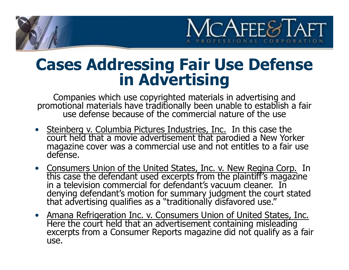

## Cases Addressing Fair Use Defense in Advertising

Companies which use copyrighted materials in advertising and promotional materials have traditionally been unable to establish a fair use defense because of the commercial nature of the use

- **Cases Addressing Fair Use Defense**<br> **in Advertising**<br>
companies which use copyrighted materials in advertising and<br>
promotional materials have traditionally been unable to establish a fair<br> **v** see defense because of the
- in a television commercial for defendant's vacuum cleaner. In denying defendant's motion for summary judgment the court stated that advertising qualifies as a "traditionally disfavored use."
- Amana Refrigeration Inc. v. Consumers Union of United States, Inc.<br>Here the court held that an advertisement containing misleading<br>excerpts from a Consumer Reports magazine did not qualify as a fair use.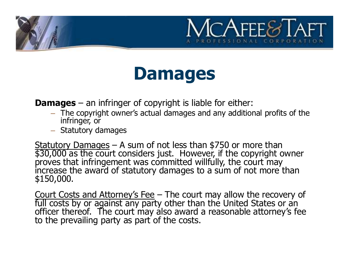#### Damages

- **Damages an infringer of copyright is liable for either:**<br> **Damages an infringer of copyright is liable for either:**<br>
 The copyright owner's actual damages and any additional profits of the<br>
 Statutery damages infringer, or
	- Statutory damages

**Damages – an infringer of copyright is liable for either:**<br>
- The copyright owner's actual damages and any additional profits of the<br>
infringer, or<br>
- Statutory damages – A sum of not less than \$750 or more than<br>
\$30,000 increase the award of statutory damages to a sum of not more than \$150,000. Damages – an infringer of copyright is liable for either:<br>
- The copyright owner's actual damages and any additional profits of the<br>
infringer, or<br>
- Statutory damages<br>
Statutory Damages<br>
Statutory Damages<br>
Statutory Damag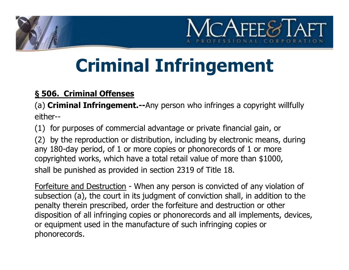

### Criminal Infringement

#### § 506. Criminal Offenses

(a) **Criminal Infringement.--**Any person who infringes a copyright willfully either--

(1) for purposes of commercial advantage or private financial gain, or

(2) by the reproduction or distribution, including by electronic means, during any 180-day period, of 1 or more copies or phonorecords of 1 or more copyrighted works, which have a total retail value of more than \$1000, shall be punished as provided in section 2319 of Title 18. S 506. Criminal Offenses<br>
(a) Criminal Infringement.--Any person who infringes a copyright willfully<br>
either--<br>
(1) for purposes of commercial advantage or private financial gain, or<br>
(2) by the reproduction or distributio

subsection (a), the court in its judgment of conviction shall, in addition to the penalty therein prescribed, order the forfeiture and destruction or other disposition of all infringing copies or phonorecords and all implements, devices, or equipment used in the manufacture of such infringing copies or phonorecords.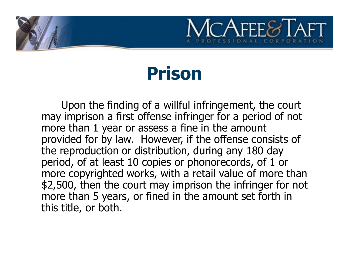

#### Prison

Upon the finding of a willful infringement, the court may imprison a first offense infringer for a period of not more than 1 year or assess a fine in the amount provided for by law. However, if the offense consists of the reproduction or distribution, during any 180 day period, of at least 10 copies or phonorecords, of 1 or more copyrighted works, with a retail value of more than \$2,500, then the court may imprison the infringer for not more than 5 years, or fined in the amount set forth in this title, or both.